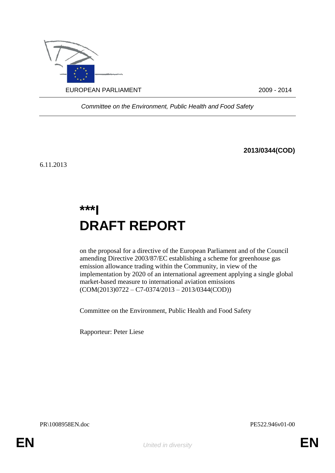

*Committee on the Environment, Public Health and Food Safety*

**2013/0344(COD)**

6.11.2013

# **\*\*\*I DRAFT REPORT**

on the proposal for a directive of the European Parliament and of the Council amending Directive 2003/87/EC establishing a scheme for greenhouse gas emission allowance trading within the Community, in view of the implementation by 2020 of an international agreement applying a single global market-based measure to international aviation emissions (COM(2013)0722 – C7-0374/2013 – 2013/0344(COD))

Committee on the Environment, Public Health and Food Safety

Rapporteur: Peter Liese

PR\1008958EN.doc PE522.946v01-00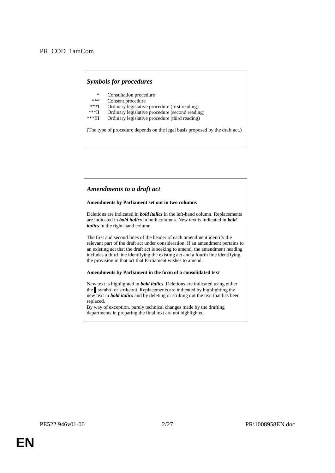#### *Symbols for procedures*

- \* Consultation procedure
- Consent procedure
- \*\*\*I Ordinary legislative procedure (first reading)<br>\*\*\*II Ordinary legislative procedure (second reading)
- Ordinary legislative procedure (second reading)
- \*\*\*III Ordinary legislative procedure (third reading)

(The type of procedure depends on the legal basis proposed by the draft act.)

### *Amendments to a draft act*

#### **Amendments by Parliament set out in two columns**

Deletions are indicated in *bold italics* in the left-hand column. Replacements are indicated in *bold italics* in both columns. New text is indicated in *bold italics* in the right-hand column.

The first and second lines of the header of each amendment identify the relevant part of the draft act under consideration. If an amendment pertains to an existing act that the draft act is seeking to amend, the amendment heading includes a third line identifying the existing act and a fourth line identifying the provision in that act that Parliament wishes to amend.

#### **Amendments by Parliament in the form of a consolidated text**

New text is highlighted in *bold italics*. Deletions are indicated using either the ▌symbol or strikeout. Replacements are indicated by highlighting the new text in *bold italics* and by deleting or striking out the text that has been replaced.

By way of exception, purely technical changes made by the drafting departments in preparing the final text are not highlighted.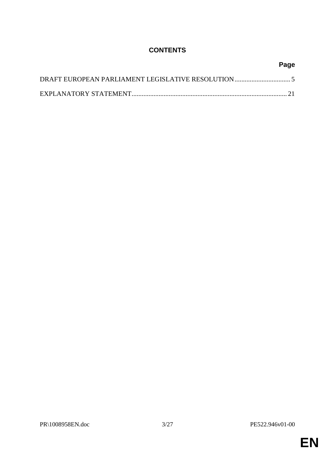# **CONTENTS**

| Page |
|------|
|      |
|      |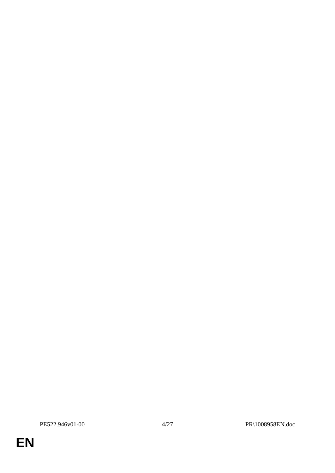PE522.946v01 -00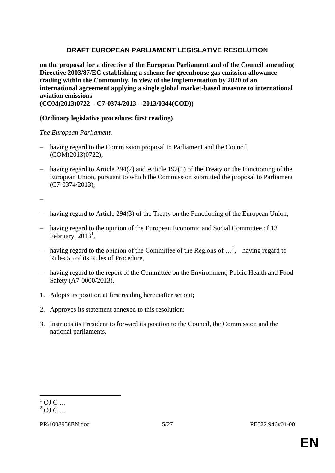# **DRAFT EUROPEAN PARLIAMENT LEGISLATIVE RESOLUTION**

**on the proposal for a directive of the European Parliament and of the Council amending Directive 2003/87/EC establishing a scheme for greenhouse gas emission allowance trading within the Community, in view of the implementation by 2020 of an international agreement applying a single global market-based measure to international aviation emissions (COM(2013)0722 – C7-0374/2013 – 2013/0344(COD))**

# **(Ordinary legislative procedure: first reading)**

*The European Parliament*,

- having regard to the Commission proposal to Parliament and the Council (COM(2013)0722),
- having regard to Article 294(2) and Article 192(1) of the Treaty on the Functioning of the European Union, pursuant to which the Commission submitted the proposal to Parliament (C7-0374/2013),

–

- having regard to Article 294(3) of the Treaty on the Functioning of the European Union,
- having regard to the opinion of the European Economic and Social Committee of 13 February,  $2013<sup>1</sup>$ ,
- having regard to the opinion of the Committee of the Regions of  $\dots$ ?, having regard to Rules 55 of its Rules of Procedure,
- having regard to the report of the Committee on the Environment, Public Health and Food Safety (A7-0000/2013),
- 1. Adopts its position at first reading hereinafter set out;
- 2. Approves its statement annexed to this resolution;
- 3. Instructs its President to forward its position to the Council, the Commission and the national parliaments.

<sup>1</sup>  $1$  OJ C ...

 $^{2}$  OJ C ...

PR\1008958EN.doc 5/27 PE522.946v01-00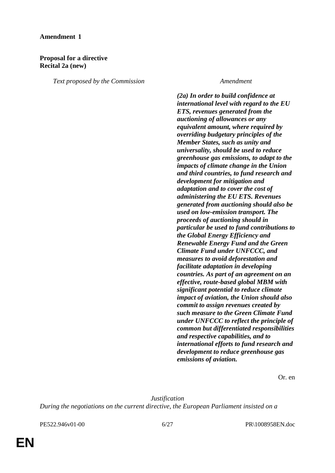# **Proposal for a directive Recital 2a (new)**

*Text proposed by the Commission Amendment*

*(2a) In order to build confidence at international level with regard to the EU ETS, revenues generated from the auctioning of allowances or any equivalent amount, where required by overriding budgetary principles of the Member States, such as unity and universality, should be used to reduce greenhouse gas emissions, to adapt to the impacts of climate change in the Union and third countries, to fund research and development for mitigation and adaptation and to cover the cost of administering the EU ETS. Revenues generated from auctioning should also be used on low-emission transport. The proceeds of auctioning should in particular be used to fund contributions to the Global Energy Efficiency and Renewable Energy Fund and the Green Climate Fund under UNFCCC, and measures to avoid deforestation and facilitate adaptation in developing countries. As part of an agreement on an effective, route-based global MBM with significant potential to reduce climate impact of aviation, the Union should also commit to assign revenues created by such measure to the Green Climate Fund under UNFCCC to reflect the principle of common but differentiated responsibilities and respective capabilities, and to international efforts to fund research and development to reduce greenhouse gas emissions of aviation.*

Or. en

*Justification During the negotiations on the current directive, the European Parliament insisted on a* 

PE522.946v01-00 6/27 PR\1008958EN.doc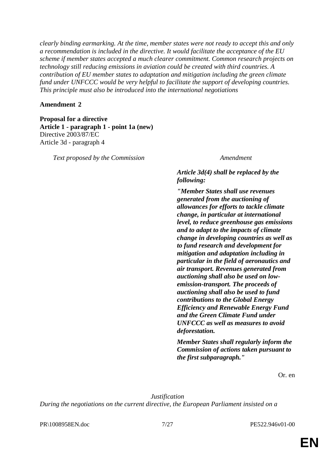*clearly binding earmarking. At the time, member states were not ready to accept this and only a recommendation is included in the directive. It would facilitate the acceptance of the EU scheme if member states accepted a much clearer commitment. Common research projects on technology still reducing emissions in aviation could be created with third countries. A contribution of EU member states to adaptation and mitigation including the green climate fund under UNFCCC would be very helpful to facilitate the support of developing countries. This principle must also be introduced into the international negotiations*

# **Amendment 2**

**Proposal for a directive Article 1 - paragraph 1 - point 1a (new)** Directive 2003/87/EC Article 3d - paragraph 4

*Text proposed by the Commission Amendment*

# *Article 3d(4) shall be replaced by the following:*

*"Member States shall use revenues generated from the auctioning of allowances for efforts to tackle climate change, in particular at international level, to reduce greenhouse gas emissions and to adapt to the impacts of climate change in developing countries as well as to fund research and development for mitigation and adaptation including in particular in the field of aeronautics and air transport. Revenues generated from auctioning shall also be used on lowemission-transport. The proceeds of auctioning shall also be used to fund contributions to the Global Energy Efficiency and Renewable Energy Fund and the Green Climate Fund under UNFCCC as well as measures to avoid deforestation.*

*Member States shall regularly inform the Commission of actions taken pursuant to the first subparagraph."*

Or. en

*Justification During the negotiations on the current directive, the European Parliament insisted on a* 

PR\1008958EN.doc 7/27 PE522.946v01-00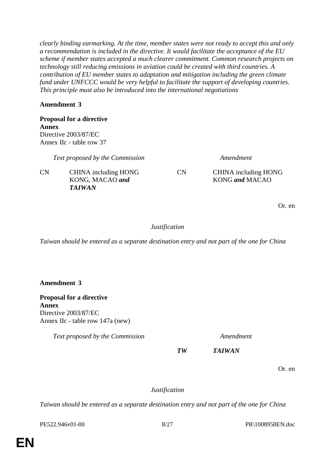*clearly binding earmarking. At the time, member states were not ready to accept this and only a recommendation is included in the directive. It would facilitate the acceptance of the EU scheme if member states accepted a much clearer commitment. Common research projects on technology still reducing emissions in aviation could be created with third countries. A contribution of EU member states to adaptation and mitigation including the green climate fund under UNFCCC would be very helpful to facilitate the support of developing countries. This principle must also be introduced into the international negotiations*

# **Amendment 3**

### **Proposal for a directive Annex** Directive 2003/87/EC Annex IIc - table row 37

|    | Text proposed by the Commission                          |    | Amendment                                     |
|----|----------------------------------------------------------|----|-----------------------------------------------|
| CN | CHINA including HONG<br>KONG, MACAO and<br><b>TAIWAN</b> | CN | CHINA including HONG<br><b>KONG and MACAO</b> |

Or. en

*Justification*

*Taiwan should be entered as a separate destination entry and not part of the one for China*

# **Amendment 3**

# **Proposal for a directive Annex** Directive 2003/87/EC Annex IIc - table row 147a (new)

*Text proposed by the Commission Amendment*

*TW TAIWAN*

Or. en

*Justification*

*Taiwan should be entered as a separate destination entry and not part of the one for China*

PE522.946v01-00 8/27 PR\1008958EN.doc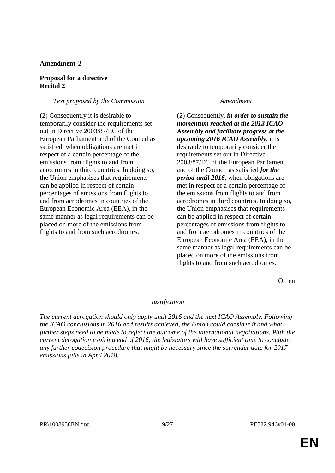## **Proposal for a directive Recital 2**

# *Text proposed by the Commission Amendment*

(2) Consequently it is desirable to temporarily consider the requirements set out in Directive 2003/87/EC of the European Parliament and of the Council as satisfied, when obligations are met in respect of a certain percentage of the emissions from flights to and from aerodromes in third countries. In doing so, the Union emphasises that requirements can be applied in respect of certain percentages of emissions from flights to and from aerodromes in countries of the European Economic Area (EEA), in the same manner as legal requirements can be placed on more of the emissions from flights to and from such aerodromes.

(2) Consequently*, in order to sustain the momentum reached at the 2013 ICAO Assembly and facilitate progress at the upcoming 2016 ICAO Assembly*, it is desirable to temporarily consider the requirements set out in Directive 2003/87/EC of the European Parliament and of the Council as satisfied *for the period until 2016*, when obligations are met in respect of a certain percentage of the emissions from flights to and from aerodromes in third countries. In doing so, the Union emphasises that requirements can be applied in respect of certain percentages of emissions from flights to and from aerodromes in countries of the European Economic Area (EEA), in the same manner as legal requirements can be placed on more of the emissions from flights to and from such aerodromes.

Or. en

# *Justification*

*The current derogation should only apply until 2016 and the next ICAO Assembly. Following the ICAO conclusions in 2016 and results achieved, the Union could consider if and what further steps need to be made to reflect the outcome of the international negotiations. With the current derogation expiring end of 2016, the legislators will have sufficient time to conclude any further codecision procedure that might be necessary since the surrender date for 2017 emissions falls in April 2018.*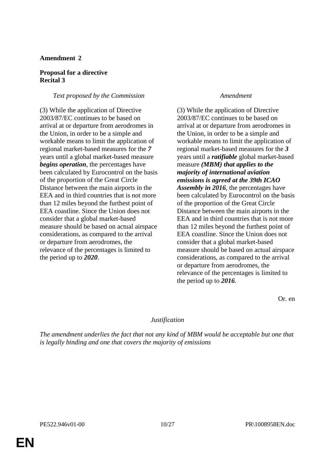### **Proposal for a directive Recital 3**

# *Text proposed by the Commission Amendment*

(3) While the application of Directive 2003/87/EC continues to be based on arrival at or departure from aerodromes in the Union, in order to be a simple and workable means to limit the application of regional market-based measures for the *7* years until a global market-based measure *begins operation*, the percentages have been calculated by Eurocontrol on the basis of the proportion of the Great Circle Distance between the main airports in the EEA and in third countries that is not more than 12 miles beyond the furthest point of EEA coastline. Since the Union does not consider that a global market-based measure should be based on actual airspace considerations, as compared to the arrival or departure from aerodromes, the relevance of the percentages is limited to the period up to *2020*.

(3) While the application of Directive 2003/87/EC continues to be based on arrival at or departure from aerodromes in the Union, in order to be a simple and workable means to limit the application of regional market-based measures for the *3* years until a *ratifiable* global market-based measure *(MBM) that applies to the majority of international aviation emissions is agreed at the 39th ICAO Assembly in 2016*, the percentages have been calculated by Eurocontrol on the basis of the proportion of the Great Circle Distance between the main airports in the EEA and in third countries that is not more than 12 miles beyond the furthest point of EEA coastline. Since the Union does not consider that a global market-based measure should be based on actual airspace considerations, as compared to the arrival or departure from aerodromes, the relevance of the percentages is limited to the period up to *2016*.

Or. en

# *Justification*

*The amendment underlies the fact that not any kind of MBM would be acceptable but one that is legally binding and one that covers the majority of emissions*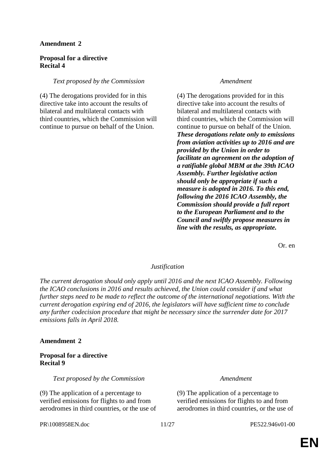## **Proposal for a directive Recital 4**

#### *Text proposed by the Commission Amendment*

(4) The derogations provided for in this directive take into account the results of bilateral and multilateral contacts with third countries, which the Commission will continue to pursue on behalf of the Union.

(4) The derogations provided for in this directive take into account the results of bilateral and multilateral contacts with third countries, which the Commission will continue to pursue on behalf of the Union. *These derogations relate only to emissions from aviation activities up to 2016 and are provided by the Union in order to facilitate an agreement on the adoption of a ratifiable global MBM at the 39th ICAO Assembly. Further legislative action should only be appropriate if such a measure is adopted in 2016. To this end, following the 2016 ICAO Assembly, the Commission should provide a full report to the European Parliament and to the Council and swiftly propose measures in line with the results, as appropriate.* 

Or. en

### *Justification*

*The current derogation should only apply until 2016 and the next ICAO Assembly. Following the ICAO conclusions in 2016 and results achieved, the Union could consider if and what further steps need to be made to reflect the outcome of the international negotiations. With the current derogation expiring end of 2016, the legislators will have sufficient time to conclude any further codecision procedure that might be necessary since the surrender date for 2017 emissions falls in April 2018.* 

#### **Amendment 2**

# **Proposal for a directive Recital 9**

*Text proposed by the Commission Amendment*

(9) The application of a percentage to verified emissions for flights to and from aerodromes in third countries, or the use of

(9) The application of a percentage to verified emissions for flights to and from aerodromes in third countries, or the use of

PR\1008958EN.doc 11/27 PE522.946v01-00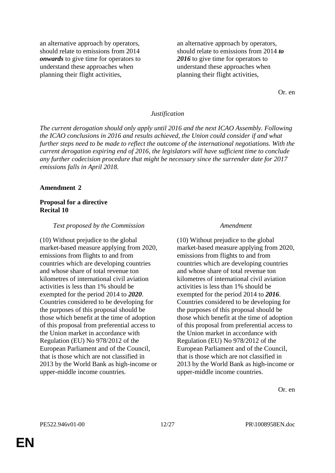an alternative approach by operators, should relate to emissions from 2014 *onwards* to give time for operators to understand these approaches when planning their flight activities,

an alternative approach by operators, should relate to emissions from 2014 *to*  2016 to give time for operators to understand these approaches when planning their flight activities,

Or. en

#### *Justification*

*The current derogation should only apply until 2016 and the next ICAO Assembly. Following the ICAO conclusions in 2016 and results achieved, the Union could consider if and what further steps need to be made to reflect the outcome of the international negotiations. With the current derogation expiring end of 2016, the legislators will have sufficient time to conclude any further codecision procedure that might be necessary since the surrender date for 2017 emissions falls in April 2018.* 

#### **Amendment 2**

#### **Proposal for a directive Recital 10**

#### *Text proposed by the Commission Amendment*

(10) Without prejudice to the global market-based measure applying from 2020, emissions from flights to and from countries which are developing countries and whose share of total revenue ton kilometres of international civil aviation activities is less than 1% should be exempted for the period 2014 to *2020*. Countries considered to be developing for the purposes of this proposal should be those which benefit at the time of adoption of this proposal from preferential access to the Union market in accordance with Regulation (EU) No 978/2012 of the European Parliament and of the Council, that is those which are not classified in 2013 by the World Bank as high-income or upper-middle income countries.

(10) Without prejudice to the global market-based measure applying from 2020, emissions from flights to and from countries which are developing countries and whose share of total revenue ton kilometres of international civil aviation activities is less than 1% should be exempted for the period 2014 to *2016*. Countries considered to be developing for the purposes of this proposal should be those which benefit at the time of adoption of this proposal from preferential access to the Union market in accordance with Regulation (EU) No 978/2012 of the European Parliament and of the Council, that is those which are not classified in 2013 by the World Bank as high-income or upper-middle income countries.

Or. en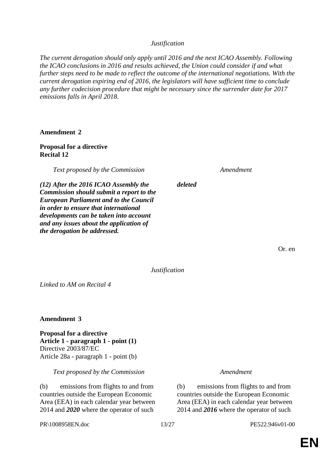## *Justification*

*The current derogation should only apply until 2016 and the next ICAO Assembly. Following the ICAO conclusions in 2016 and results achieved, the Union could consider if and what further steps need to be made to reflect the outcome of the international negotiations. With the current derogation expiring end of 2016, the legislators will have sufficient time to conclude any further codecision procedure that might be necessary since the surrender date for 2017 emissions falls in April 2018.* 

**Amendment 2**

## **Proposal for a directive Recital 12**

*Text proposed by the Commission Amendment*

*(12) After the 2016 ICAO Assembly the Commission should submit a report to the European Parliament and to the Council in order to ensure that international developments can be taken into account and any issues about the application of the derogation be addressed.*

*deleted*

Or. en

*Justification*

*Linked to AM on Recital 4*

**Amendment 3**

**Proposal for a directive Article 1 - paragraph 1 - point (1)** Directive 2003/87/EC Article 28a - paragraph 1 - point (b)

*Text proposed by the Commission Amendment*

(b) emissions from flights to and from countries outside the European Economic Area (EEA) in each calendar year between 2014 and *2020* where the operator of such

PR\1008958EN.doc 13/27 PE522.946v01-00

Area (EEA) in each calendar year between 2014 and *2016* where the operator of such

(b) emissions from flights to and from countries outside the European Economic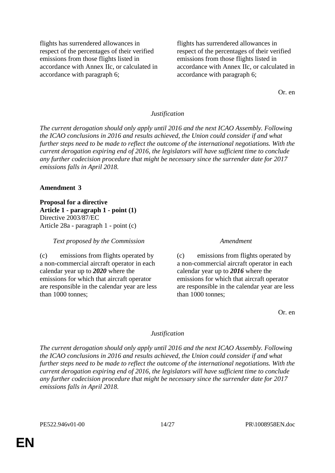flights has surrendered allowances in respect of the percentages of their verified emissions from those flights listed in accordance with Annex IIc, or calculated in accordance with paragraph 6;

flights has surrendered allowances in respect of the percentages of their verified emissions from those flights listed in accordance with Annex IIc, or calculated in accordance with paragraph 6;

Or. en

#### *Justification*

*The current derogation should only apply until 2016 and the next ICAO Assembly. Following the ICAO conclusions in 2016 and results achieved, the Union could consider if and what further steps need to be made to reflect the outcome of the international negotiations. With the current derogation expiring end of 2016, the legislators will have sufficient time to conclude any further codecision procedure that might be necessary since the surrender date for 2017 emissions falls in April 2018.* 

### **Amendment 3**

**Proposal for a directive Article 1 - paragraph 1 - point (1)** Directive 2003/87/EC Article 28a - paragraph 1 - point (c)

*Text proposed by the Commission Amendment*

(c) emissions from flights operated by a non-commercial aircraft operator in each calendar year up to *2020* where the emissions for which that aircraft operator are responsible in the calendar year are less than 1000 tonnes;

(c) emissions from flights operated by a non-commercial aircraft operator in each calendar year up to *2016* where the emissions for which that aircraft operator are responsible in the calendar year are less than 1000 tonnes;

Or. en

#### *Justification*

*The current derogation should only apply until 2016 and the next ICAO Assembly. Following the ICAO conclusions in 2016 and results achieved, the Union could consider if and what further steps need to be made to reflect the outcome of the international negotiations. With the current derogation expiring end of 2016, the legislators will have sufficient time to conclude any further codecision procedure that might be necessary since the surrender date for 2017 emissions falls in April 2018.*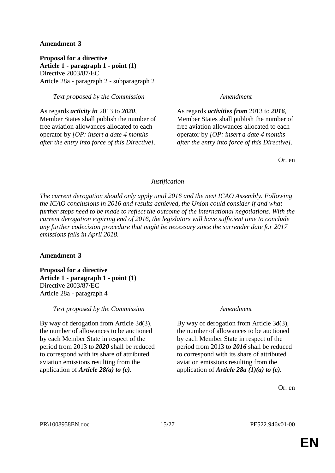**Proposal for a directive Article 1 - paragraph 1 - point (1)** Directive 2003/87/EC Article 28a - paragraph 2 - subparagraph 2

#### *Text proposed by the Commission Amendment*

As regards *activity in* 2013 to *2020*, Member States shall publish the number of free aviation allowances allocated to each operator by *[OP: insert a date 4 months after the entry into force of this Directive].*

As regards *activities from* 2013 to *2016*, Member States shall publish the number of free aviation allowances allocated to each operator by *[OP: insert a date 4 months after the entry into force of this Directive].*

Or. en

#### *Justification*

*The current derogation should only apply until 2016 and the next ICAO Assembly. Following the ICAO conclusions in 2016 and results achieved, the Union could consider if and what further steps need to be made to reflect the outcome of the international negotiations. With the current derogation expiring end of 2016, the legislators will have sufficient time to conclude any further codecision procedure that might be necessary since the surrender date for 2017 emissions falls in April 2018.* 

#### **Amendment 3**

**Proposal for a directive Article 1 - paragraph 1 - point (1)** Directive 2003/87/EC Article 28a - paragraph 4

#### *Text proposed by the Commission Amendment*

By way of derogation from Article 3d(3), the number of allowances to be auctioned by each Member State in respect of the period from 2013 to *2020* shall be reduced to correspond with its share of attributed aviation emissions resulting from the application of *Article 28(a) to (c).*

By way of derogation from Article 3d(3), the number of allowances to be auctioned by each Member State in respect of the period from 2013 to *2016* shall be reduced to correspond with its share of attributed aviation emissions resulting from the application of *Article 28a (1)(a) to (c).*

Or. en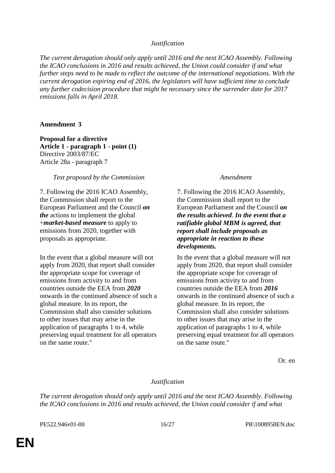*Justification*

*The current derogation should only apply until 2016 and the next ICAO Assembly. Following the ICAO conclusions in 2016 and results achieved, the Union could consider if and what further steps need to be made to reflect the outcome of the international negotiations. With the current derogation expiring end of 2016, the legislators will have sufficient time to conclude any further codecision procedure that might be necessary since the surrender date for 2017 emissions falls in April 2018.* 

# **Amendment 3**

**Proposal for a directive Article 1 - paragraph 1 - point (1)** Directive 2003/87/EC Article 28a - paragraph 7

*Text proposed by the Commission Amendment*

7. Following the 2016 ICAO Assembly, the Commission shall report to the European Parliament and the Council *on the* actions to implement the global +*market-based measure* to apply to emissions from 2020, together with proposals as appropriate.

In the event that a global measure will not apply from 2020, that report shall consider the appropriate scope for coverage of emissions from activity to and from countries outside the EEA from *2020* onwards in the continued absence of such a global measure. In its report, the Commission shall also consider solutions to other issues that may arise in the application of paragraphs 1 to 4, while preserving equal treatment for all operators on the same route."

7. Following the 2016 ICAO Assembly, the Commission shall report to the European Parliament and the Council *on the results achieved*. *In the event that a ratifiable global MBM is agreed, that report shall include proposals as appropriate in reaction to these developments.* 

In the event that a global measure will not apply from 2020, that report shall consider the appropriate scope for coverage of emissions from activity to and from countries outside the EEA from *2016* onwards in the continued absence of such a global measure. In its report, the Commission shall also consider solutions to other issues that may arise in the application of paragraphs 1 to 4, while preserving equal treatment for all operators on the same route."

Or. en

# *Justification*

*The current derogation should only apply until 2016 and the next ICAO Assembly. Following the ICAO conclusions in 2016 and results achieved, the Union could consider if and what*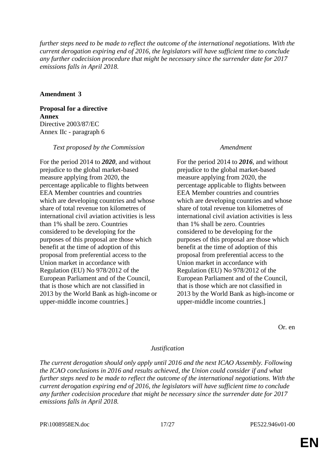*further steps need to be made to reflect the outcome of the international negotiations. With the current derogation expiring end of 2016, the legislators will have sufficient time to conclude any further codecision procedure that might be necessary since the surrender date for 2017 emissions falls in April 2018.* 

## **Amendment 3**

**Proposal for a directive Annex** Directive 2003/87/EC Annex IIc - paragraph 6

# *Text proposed by the Commission Amendment*

For the period 2014 to *2020*, and without prejudice to the global market-based measure applying from 2020, the percentage applicable to flights between EEA Member countries and countries which are developing countries and whose share of total revenue ton kilometres of international civil aviation activities is less than 1% shall be zero. Countries considered to be developing for the purposes of this proposal are those which benefit at the time of adoption of this proposal from preferential access to the Union market in accordance with Regulation (EU) No 978/2012 of the European Parliament and of the Council, that is those which are not classified in 2013 by the World Bank as high-income or upper-middle income countries.]

For the period 2014 to *2016*, and without prejudice to the global market-based measure applying from 2020, the percentage applicable to flights between EEA Member countries and countries which are developing countries and whose share of total revenue ton kilometres of international civil aviation activities is less than 1% shall be zero. Countries considered to be developing for the purposes of this proposal are those which benefit at the time of adoption of this proposal from preferential access to the Union market in accordance with Regulation (EU) No 978/2012 of the European Parliament and of the Council, that is those which are not classified in 2013 by the World Bank as high-income or upper-middle income countries.]

Or. en

### *Justification*

*The current derogation should only apply until 2016 and the next ICAO Assembly. Following the ICAO conclusions in 2016 and results achieved, the Union could consider if and what further steps need to be made to reflect the outcome of the international negotiations. With the current derogation expiring end of 2016, the legislators will have sufficient time to conclude any further codecision procedure that might be necessary since the surrender date for 2017 emissions falls in April 2018.* 

PR\1008958EN.doc 17/27 PE522.946v01-00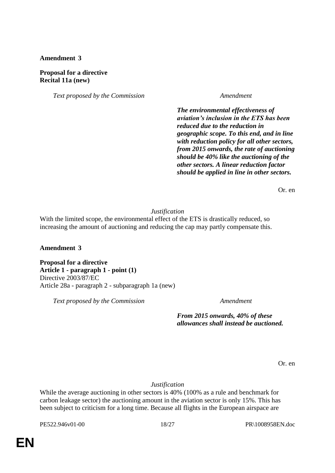**Proposal for a directive Recital 11a (new)**

*Text proposed by the Commission Amendment*

*The environmental effectiveness of aviation's inclusion in the ETS has been reduced due to the reduction in geographic scope. To this end, and in line with reduction policy for all other sectors, from 2015 onwards, the rate of auctioning should be 40% like the auctioning of the other sectors. A linear reduction factor should be applied in line in other sectors.* 

Or. en

### *Justification*

With the limited scope, the environmental effect of the ETS is drastically reduced, so increasing the amount of auctioning and reducing the cap may partly compensate this.

**Amendment 3**

**Proposal for a directive Article 1 - paragraph 1 - point (1)** Directive 2003/87/EC Article 28a - paragraph 2 - subparagraph 1a (new)

*Text proposed by the Commission Amendment*

*From 2015 onwards, 40% of these allowances shall instead be auctioned.* 

Or. en

*Justification*

While the average auctioning in other sectors is 40% (100% as a rule and benchmark for carbon leakage sector) the auctioning amount in the aviation sector is only 15%. This has been subject to criticism for a long time. Because all flights in the European airspace are

PE522.946v01-00 18/27 PR\1008958EN.doc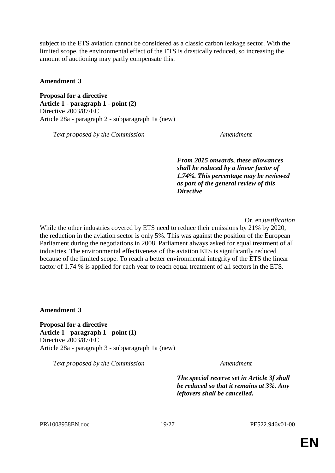subject to the ETS aviation cannot be considered as a classic carbon leakage sector. With the limited scope, the environmental effect of the ETS is drastically reduced, so increasing the amount of auctioning may partly compensate this.

**Amendment 3**

**Proposal for a directive Article 1 - paragraph 1 - point (2)** Directive 2003/87/EC Article 28a - paragraph 2 - subparagraph 1a (new)

*Text proposed by the Commission Amendment*

*From 2015 onwards, these allowances shall be reduced by a linear factor of 1.74%. This percentage may be reviewed as part of the general review of this Directive*

Or. en*Justification*

While the other industries covered by ETS need to reduce their emissions by 21% by 2020, the reduction in the aviation sector is only 5%. This was against the position of the European Parliament during the negotiations in 2008. Parliament always asked for equal treatment of all industries. The environmental effectiveness of the aviation ETS is significantly reduced because of the limited scope. To reach a better environmental integrity of the ETS the linear factor of 1.74 % is applied for each year to reach equal treatment of all sectors in the ETS.

**Amendment 3**

**Proposal for a directive Article 1 - paragraph 1 - point (1)** Directive 2003/87/EC Article 28a - paragraph 3 - subparagraph 1a (new)

*Text proposed by the Commission Amendment*

*The special reserve set in Article 3f shall be reduced so that it remains at 3%. Any leftovers shall be cancelled.*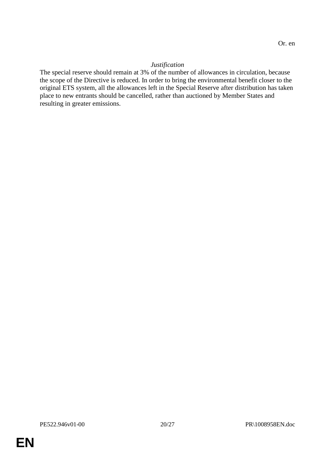# *Justification*

The special reserve should remain at 3% of the number of allowances in circulation, because the scope of the Directive is reduced. In order to bring the environmental benefit closer to the original ETS system, all the allowances left in the Special Reserve after distribution has taken place to new entrants should be cancelled, rather than auctioned by Member States and resulting in greater emissions.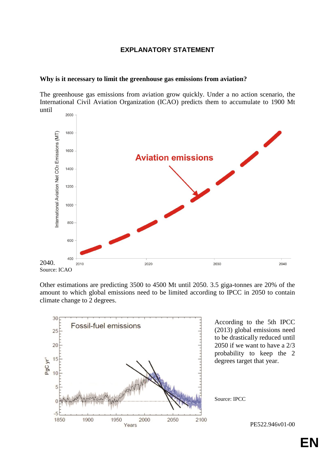# **EXPLANATORY STATEMENT**

#### **Why is it necessary to limit the greenhouse gas emissions from aviation?**

The greenhouse gas emissions from aviation grow quickly. Under a no action scenario, the International Civil Aviation Organization (ICAO) predicts them to accumulate to 1900 Mt until 2000



Source: ICAO

Other estimations are predicting 3500 to 4500 Mt until 2050. 3.5 giga-tonnes are 20% of the amount to which global emissions need to be limited according to IPCC in 2050 to contain climate change to 2 degrees.



According to the 5th IPCC (2013) global emissions need to be drastically reduced until 2050 if we want to have a 2/3 probability to keep the 2 degrees target that year.

Source: IPCC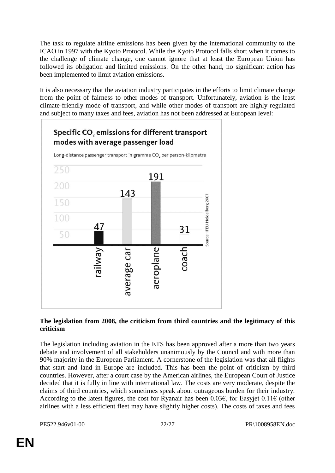The task to regulate airline emissions has been given by the international community to the ICAO in 1997 with the Kyoto Protocol. While the Kyoto Protocol falls short when it comes to the challenge of climate change, one cannot ignore that at least the European Union has followed its obligation and limited emissions. On the other hand, no significant action has been implemented to limit aviation emissions.

It is also necessary that the aviation industry participates in the efforts to limit climate change from the point of fairness to other modes of transport. Unfortunately, aviation is the least climate-friendly mode of transport, and while other modes of transport are highly regulated and subject to many taxes and fees, aviation has not been addressed at European level:



### **The legislation from 2008, the criticism from third countries and the legitimacy of this criticism**

The legislation including aviation in the ETS has been approved after a more than two years debate and involvement of all stakeholders unanimously by the Council and with more than 90% majority in the European Parliament. A cornerstone of the legislation was that all flights that start and land in Europe are included. This has been the point of criticism by third countries. However, after a court case by the American airlines, the European Court of Justice decided that it is fully in line with international law. The costs are very moderate, despite the claims of third countries, which sometimes speak about outrageous burden for their industry. According to the latest figures, the cost for Ryanair has been  $0.036$ , for Easyjet  $0.116$  (other airlines with a less efficient fleet may have slightly higher costs). The costs of taxes and fees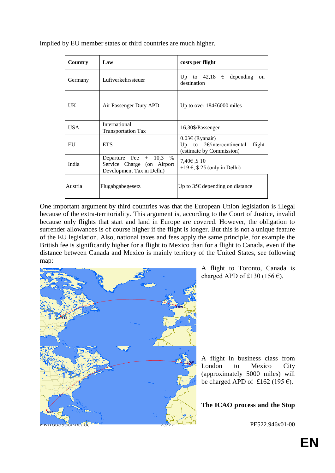implied by EU member states or third countries are much higher.

| Country | Law                                                                                 | costs per flight                                                                                |
|---------|-------------------------------------------------------------------------------------|-------------------------------------------------------------------------------------------------|
| Germany | Luftverkehrssteuer                                                                  | Up to $42,18 \text{ } \in \text{ depending}$<br>on<br>destination                               |
| UK.     | Air Passenger Duty APD                                                              | Up to over $184£6000$ miles                                                                     |
| US A    | International<br><b>Transportation Tax</b>                                          | 16,30\$/Passenger                                                                               |
| EU      | <b>ETS</b>                                                                          | $0.036$ (Ryanair)<br>Up to $2 \epsilon$ /intercontinental<br>flight<br>(estimate by Commission) |
| India   | Departure Fee $+$ 10,3 %<br>Service Charge (on Airport<br>Development Tax in Delhi) | 7,40€,\$10<br>+19 $\epsilon$ , \$ 25 (only in Delhi)                                            |
| Austria | Flugabgabegesetz                                                                    | Up to $35\epsilon$ depending on distance                                                        |

One important argument by third countries was that the European Union legislation is illegal because of the extra-territoriality. This argument is, according to the Court of Justice, invalid because only flights that start and land in Europe are covered. However, the obligation to surrender allowances is of course higher if the flight is longer. But this is not a unique feature of the EU legislation. Also, national taxes and fees apply the same principle, for example the British fee is significantly higher for a flight to Mexico than for a flight to Canada, even if the distance between Canada and Mexico is mainly territory of the United States, see following map:



A flight to Toronto, Canada is charged APD of £130 (156 €).

A flight in business class from London to Mexico City (approximately 5000 miles) will be charged APD of £162 (195 $\epsilon$ ).

**The ICAO process and the Stop**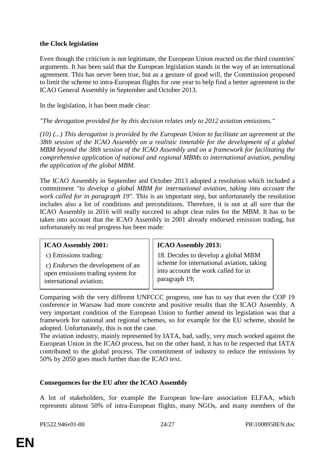# **the Clock legislation**

Even though the criticism is not legitimate, the European Union reacted on the third countries' arguments. It has been said that the European legislation stands in the way of an international agreement. This has never been true, but as a gesture of good will, the Commission proposed to limit the scheme to intra-European flights for one year to help find a better agreement in the ICAO General Assembly in September and October 2013.

In the legislation, it has been made clear:

*"The derogation provided for by this decision relates only to 2012 aviation emissions."*

*(10) (...) This derogation is provided by the European Union to facilitate an agreement at the 38th session of the ICAO Assembly on a realistic timetable for the development of a global MBM beyond the 38th session of the ICAO Assembly and on a framework for facilitating the comprehensive application of national and regional MBMs to international aviation, pending the application of the global MBM.* 

The ICAO Assembly in September and October 2013 adopted a resolution which included a commitment *"to develop a global MBM for international aviation, taking into account the work called for in paragraph 19".* This is an important step, but unfortunately the resolution includes also a lot of conditions and preconditions. Therefore, it is not at all sure that the ICAO Assembly in 2016 will really succeed to adopt clear rules for the MBM. It has to be taken into account that the ICAO Assembly in 2001 already endorsed emission trading, but unfortunately no real progress has been made:

# **ICAO Assembly 2001:**

c) Emissions trading:

c) *Endorses* the development of an open emissions trading system for international aviation;

# **ICAO Assembly 2013:**

18. Decides to develop a global MBM scheme for international aviation, taking into account the work called for in paragraph 19;

Comparing with the very different UNFCCC progress, one has to say that even the COP 19 conference in Warsaw had more concrete and positive results than the ICAO Assembly. A very important condition of the European Union to further amend its legislation was that a framework for national and regional schemes, so for example for the EU scheme, should be adopted. Unfortunately, this is not the case.

The aviation industry, mainly represented by IATA, had, sadly, very much worked against the European Union in the ICAO process, but on the other hand, it has to be respected that IATA contributed to the global process. The commitment of industry to reduce the emissions by 50% by 2050 goes much further than the ICAO text.

# **Consequences for the EU after the ICAO Assembly**

A lot of stakeholders, for example the European low-fare association ELFAA, which represents almost 50% of intra-European flights, many NGOs, and many members of the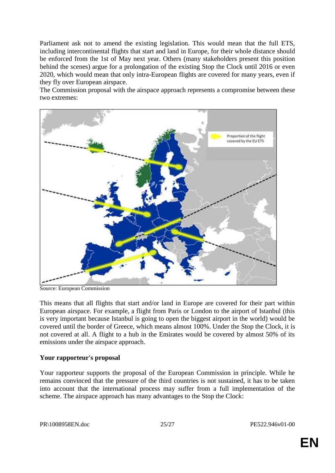Parliament ask not to amend the existing legislation. This would mean that the full ETS, including intercontinental flights that start and land in Europe, for their whole distance should be enforced from the 1st of May next year. Others (many stakeholders present this position behind the scenes) argue for a prolongation of the existing Stop the Clock until 2016 or even 2020, which would mean that only intra-European flights are covered for many years, even if they fly over European airspace.

The Commission proposal with the airspace approach represents a compromise between these two extremes:



Source: European Commission

This means that all flights that start and/or land in Europe are covered for their part within European airspace. For example, a flight from Paris or London to the airport of Istanbul (this is very important because Istanbul is going to open the biggest airport in the world) would be covered until the border of Greece, which means almost 100%. Under the Stop the Clock, it is not covered at all. A flight to a hub in the Emirates would be covered by almost 50% of its emissions under the airspace approach.

# **Your rapporteur's proposal**

Your rapporteur supports the proposal of the European Commission in principle. While he remains convinced that the pressure of the third countries is not sustained, it has to be taken into account that the international process may suffer from a full implementation of the scheme. The airspace approach has many advantages to the Stop the Clock: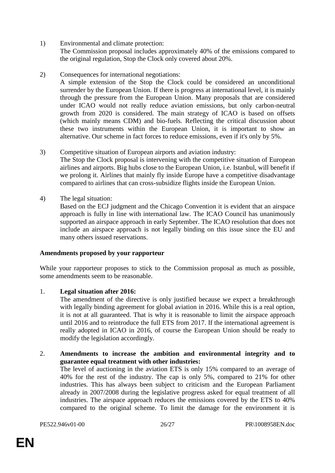- 1) Environmental and climate protection: The Commission proposal includes approximately 40% of the emissions compared to the original regulation, Stop the Clock only covered about 20%.
- 2) Consequences for international negotiations:

A simple extension of the Stop the Clock could be considered an unconditional surrender by the European Union. If there is progress at international level, it is mainly through the pressure from the European Union. Many proposals that are considered under ICAO would not really reduce aviation emissions, but only carbon-neutral growth from 2020 is considered. The main strategy of ICAO is based on offsets (which mainly means CDM) and bio-fuels. Reflecting the critical discussion about these two instruments within the European Union, it is important to show an alternative. Our scheme in fact forces to reduce emissions, even if it's only by 5%.

3) Competitive situation of European airports and aviation industry:

The Stop the Clock proposal is intervening with the competitive situation of European airlines and airports. Big hubs close to the European Union, i.e. Istanbul, will benefit if we prolong it. Airlines that mainly fly inside Europe have a competitive disadvantage compared to airlines that can cross-subsidize flights inside the European Union.

4) The legal situation:

Based on the ECJ judgment and the Chicago Convention it is evident that an airspace approach is fully in line with international law. The ICAO Council has unanimously supported an airspace approach in early September. The ICAO resolution that does not include an airspace approach is not legally binding on this issue since the EU and many others issued reservations.

# **Amendments proposed by your rapporteur**

While your rapporteur proposes to stick to the Commission proposal as much as possible, some amendments seem to be reasonable.

# 1. **Legal situation after 2016:**

The amendment of the directive is only justified because we expect a breakthrough with legally binding agreement for global aviation in 2016. While this is a real option, it is not at all guaranteed. That is why it is reasonable to limit the airspace approach until 2016 and to reintroduce the full ETS from 2017. If the international agreement is really adopted in ICAO in 2016, of course the European Union should be ready to modify the legislation accordingly.

# 2. **Amendments to increase the ambition and environmental integrity and to guarantee equal treatment with other industries:**

The level of auctioning in the aviation ETS is only 15% compared to an average of 40% for the rest of the industry. The cap is only 5%, compared to 21% for other industries. This has always been subject to criticism and the European Parliament already in 2007/2008 during the legislative progress asked for equal treatment of all industries. The airspace approach reduces the emissions covered by the ETS to 40% compared to the original scheme. To limit the damage for the environment it is